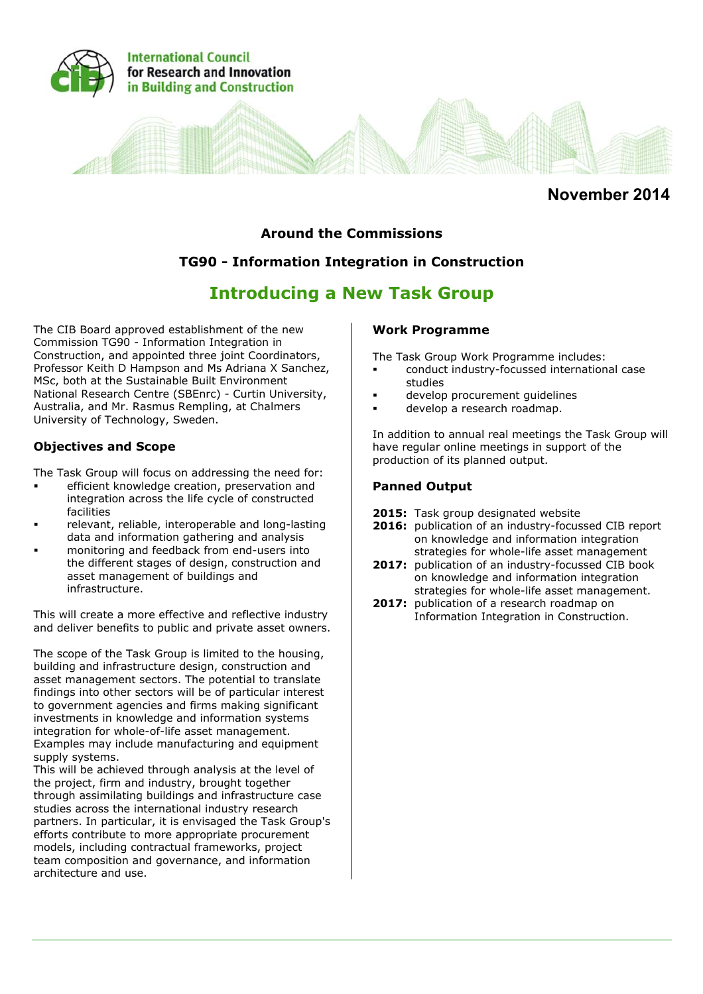

## **November 2014**

### **Around the Commissions**

### **TG90 - Information Integration in Construction**

## **Introducing a New Task Group**

The CIB Board approved establishment of the new Commission TG90 - Information Integration in Construction, and appointed three joint Coordinators, Professor Keith D Hampson and Ms Adriana X Sanchez, MSc, both at the Sustainable Built Environment National Research Centre (SBEnrc) - Curtin University, Australia, and Mr. Rasmus Rempling, at Chalmers University of Technology, Sweden.

### **Objectives and Scope**

The Task Group will focus on addressing the need for:

- efficient knowledge creation, preservation and integration across the life cycle of constructed facilities
- relevant, reliable, interoperable and long-lasting data and information gathering and analysis
- monitoring and feedback from end-users into the different stages of design, construction and asset management of buildings and infrastructure.

This will create a more effective and reflective industry and deliver benefits to public and private asset owners.

The scope of the Task Group is limited to the housing, building and infrastructure design, construction and asset management sectors. The potential to translate findings into other sectors will be of particular interest to government agencies and firms making significant investments in knowledge and information systems integration for whole-of-life asset management. Examples may include manufacturing and equipment supply systems.

This will be achieved through analysis at the level of the project, firm and industry, brought together through assimilating buildings and infrastructure case studies across the international industry research partners. In particular, it is envisaged the Task Group's efforts contribute to more appropriate procurement models, including contractual frameworks, project team composition and governance, and information architecture and use.

### **Work Programme**

The Task Group Work Programme includes:

- conduct industry-focussed international case studies
- develop procurement guidelines
- develop a research roadmap.

In addition to annual real meetings the Task Group will have regular online meetings in support of the production of its planned output.

### **Panned Output**

- **2015:** Task group designated website
- **2016:** publication of an industry-focussed CIB report on knowledge and information integration strategies for whole-life asset management
- **2017:** publication of an industry-focussed CIB book on knowledge and information integration strategies for whole-life asset management.
- 2017: publication of a research roadmap on Information Integration in Construction.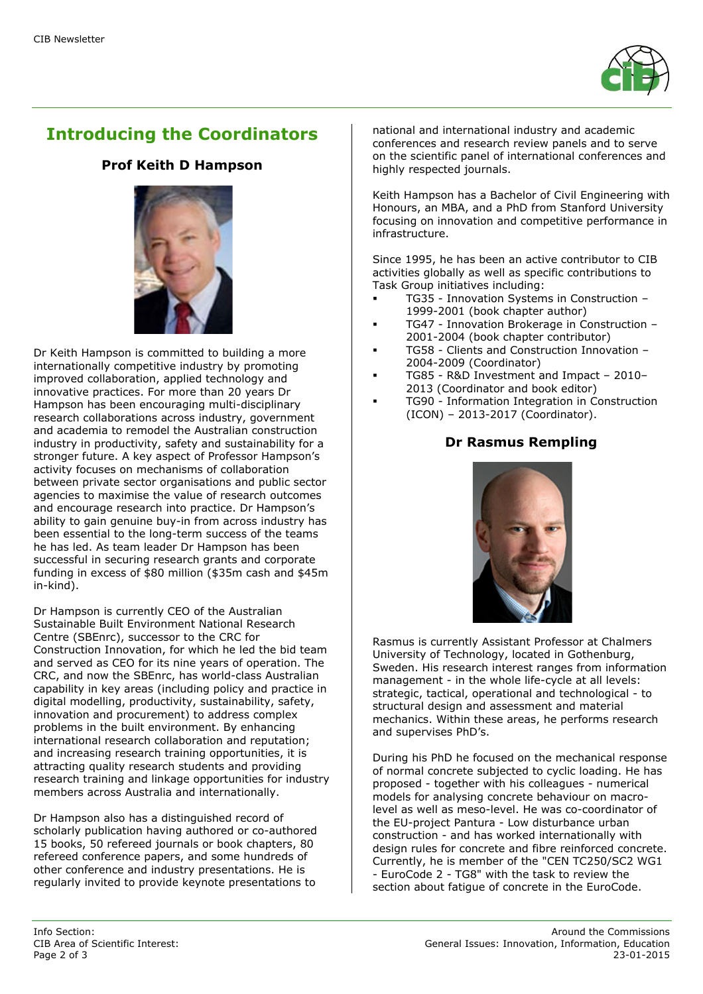

# **Introducing the Coordinators**

## **Prof Keith D Hampson**



Dr Keith Hampson is committed to building a more internationally competitive industry by promoting improved collaboration, applied technology and innovative practices. For more than 20 years Dr Hampson has been encouraging multi-disciplinary research collaborations across industry, government and academia to remodel the Australian construction industry in productivity, safety and sustainability for a stronger future. A key aspect of Professor Hampson's activity focuses on mechanisms of collaboration between private sector organisations and public sector agencies to maximise the value of research outcomes and encourage research into practice. Dr Hampson's ability to gain genuine buy-in from across industry has been essential to the long-term success of the teams he has led. As team leader Dr Hampson has been successful in securing research grants and corporate funding in excess of \$80 million (\$35m cash and \$45m in-kind).

Dr Hampson is currently CEO of the Australian Sustainable Built Environment National Research Centre (SBEnrc), successor to the CRC for Construction Innovation, for which he led the bid team and served as CEO for its nine years of operation. The CRC, and now the SBEnrc, has world-class Australian capability in key areas (including policy and practice in digital modelling, productivity, sustainability, safety, innovation and procurement) to address complex problems in the built environment. By enhancing international research collaboration and reputation; and increasing research training opportunities, it is attracting quality research students and providing research training and linkage opportunities for industry members across Australia and internationally.

Dr Hampson also has a distinguished record of scholarly publication having authored or co-authored 15 books, 50 refereed journals or book chapters, 80 refereed conference papers, and some hundreds of other conference and industry presentations. He is regularly invited to provide keynote presentations to

national and international industry and academic conferences and research review panels and to serve on the scientific panel of international conferences and highly respected journals.

Keith Hampson has a Bachelor of Civil Engineering with Honours, an MBA, and a PhD from Stanford University focusing on innovation and competitive performance in infrastructure.

Since 1995, he has been an active contributor to CIB activities globally as well as specific contributions to Task Group initiatives including:

- TG35 Innovation Systems in Construction 1999-2001 (book chapter author)
- TG47 Innovation Brokerage in Construction 2001-2004 (book chapter contributor)
- TG58 Clients and Construction Innovation 2004-2009 (Coordinator)
- TG85 R&D Investment and Impact 2010– 2013 (Coordinator and book editor)
- TG90 Information Integration in Construction (ICON) – 2013-2017 (Coordinator).

## **Dr Rasmus Rempling**



Rasmus is currently Assistant Professor at Chalmers University of Technology, located in Gothenburg, Sweden. His research interest ranges from information management - in the whole life-cycle at all levels: strategic, tactical, operational and technological - to structural design and assessment and material mechanics. Within these areas, he performs research and supervises PhD's.

During his PhD he focused on the mechanical response of normal concrete subjected to cyclic loading. He has proposed - together with his colleagues - numerical models for analysing concrete behaviour on macrolevel as well as meso-level. He was co-coordinator of the EU-project Pantura - Low disturbance urban construction - and has worked internationally with design rules for concrete and fibre reinforced concrete. Currently, he is member of the "CEN TC250/SC2 WG1 - EuroCode 2 - TG8" with the task to review the section about fatigue of concrete in the EuroCode.